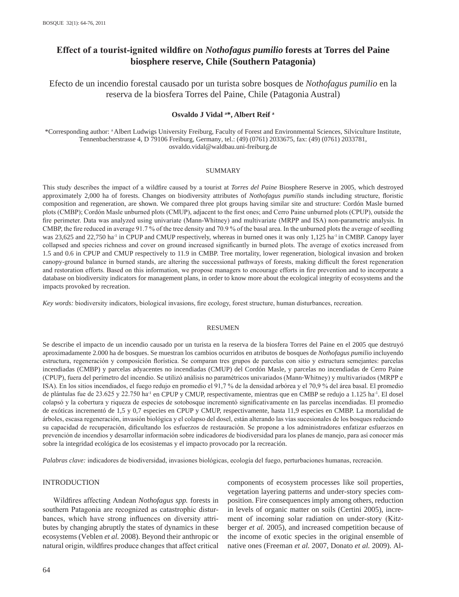# **Effect of a tourist-ignited wildfire on** *Nothofagus pumilio* **forests at Torres del Paine biosphere reserve, Chile (Southern Patagonia)**

Efecto de un incendio forestal causado por un turista sobre bosques de *Nothofagus pumilio* en la reserva de la biosfera Torres del Paine, Chile (Patagonia Austral)

## **Osvaldo J Vidal a \*, Albert Reif a**

\*Corresponding author: a Albert Ludwigs University Freiburg, Faculty of Forest and Environmental Sciences, Silviculture Institute, Tennenbacherstrasse 4, D 79106 Freiburg, Germany, tel.: (49) (0761) 2033675, fax: (49) (0761) 2033781, osvaldo.vidal@waldbau.uni-freiburg.de

#### SUMMARY

This study describes the impact of a wildfire caused by a tourist at *Torres del Paine* Biosphere Reserve in 2005, which destroyed approximately 2,000 ha of forests. Changes on biodiversity attributes of *Nothofagus pumilio* stands including structure, floristic composition and regeneration, are shown. We compared three plot groups having similar site and structure: Cordón Masle burned plots (CMBP); Cordón Masle unburned plots (CMUP), adjacent to the first ones; and Cerro Paine unburned plots (CPUP), outside the fire perimeter. Data was analyzed using univariate (Mann-Whitney) and multivariate (MRPP and ISA) non-parametric analysis. In CMBP, the fire reduced in average 91.7 % of the tree density and 70.9 % of the basal area. In the unburned plots the average of seedling was 23,625 and 22,750 ha<sup>-1</sup> in CPUP and CMUP respectively, whereas in burned ones it was only 1,125 ha<sup>-1</sup> in CMBP. Canopy layer collapsed and species richness and cover on ground increased significantly in burned plots. The average of exotics increased from 1.5 and 0.6 in CPUP and CMUP respectively to 11.9 in CMBP. Tree mortality, lower regeneration, biological invasion and broken canopy-ground balance in burned stands, are altering the successional pathways of forests, making difficult the forest regeneration and restoration efforts. Based on this information, we propose managers to encourage efforts in fire prevention and to incorporate a database on biodiversity indicators for management plans, in order to know more about the ecological integrity of ecosystems and the impacts provoked by recreation.

*Key words:* biodiversity indicators, biological invasions, fire ecology, forest structure, human disturbances, recreation.

#### RESUMEN

Se describe el impacto de un incendio causado por un turista en la reserva de la biosfera Torres del Paine en el 2005 que destruyó aproximadamente 2.000 ha de bosques. Se muestran los cambios ocurridos en atributos de bosques de *Nothofagus pumilio* incluyendo estructura, regeneración y composición florística. Se comparan tres grupos de parcelas con sitio y estructura semejantes: parcelas incendiadas (CMBP) y parcelas adyacentes no incendiadas (CMUP) del Cordón Masle, y parcelas no incendiadas de Cerro Paine (CPUP), fuera del perímetro del incendio. Se utilizó análisis no paramétricos univariados (Mann-Whitney) y multivariados (MRPP e ISA). En los sitios incendiados, el fuego redujo en promedio el 91,7 % de la densidad arbórea y el 70,9 % del área basal. El promedio de plántulas fue de 23.625 y 22.750 ha<sup>-1</sup> en CPUP y CMUP, respectivamente, mientras que en CMBP se redujo a 1.125 ha<sup>-1</sup>. El dosel colapsó y la cobertura y riqueza de especies de sotobosque incrementó significativamente en las parcelas incendiadas. El promedio de exóticas incrementó de 1,5 y 0,7 especies en CPUP y CMUP, respectivamente, hasta 11,9 especies en CMBP. La mortalidad de árboles, escasa regeneración, invasión biológica y el colapso del dosel, están alterando las vías sucesionales de los bosques reduciendo su capacidad de recuperación, dificultando los esfuerzos de restauración. Se propone a los administradores enfatizar esfuerzos en prevención de incendios y desarrollar información sobre indicadores de biodiversidad para los planes de manejo, para así conocer más sobre la integridad ecológica de los ecosistemas y el impacto provocado por la recreación.

*Palabras clave:* indicadores de biodiversidad, invasiones biológicas, ecología del fuego, perturbaciones humanas, recreación.

# INTRODUCTION

Wildfires affecting Andean *Nothofagus spp.* forests in southern Patagonia are recognized as catastrophic disturbances, which have strong influences on diversity attributes by changing abruptly the states of dynamics in these ecosystems (Veblen *et al.* 2008). Beyond their anthropic or natural origin, wildfires produce changes that affect critical

components of ecosystem processes like soil properties, vegetation layering patterns and under-story species composition. Fire consequences imply among others, reduction in levels of organic matter on soils (Certini 2005), increment of incoming solar radiation on under-story (Kitzberger *et al.* 2005), and increased competition because of the income of exotic species in the original ensemble of native ones (Freeman *et al.* 2007, Donato *et al.* 2009). Al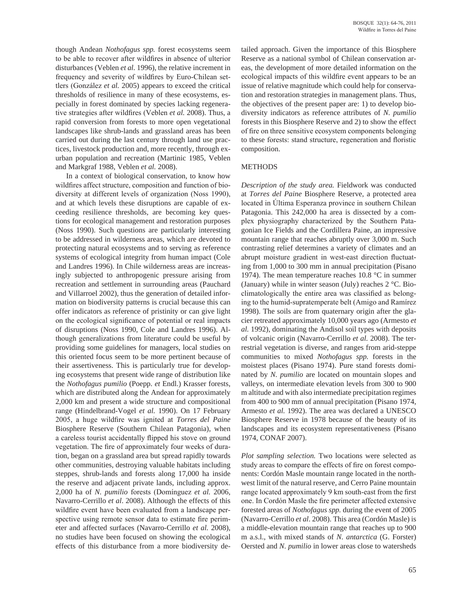though Andean *Nothofagus spp.* forest ecosystems seem to be able to recover after wildfires in absence of ulterior disturbances (Veblen *et al.* 1996), the relative increment in frequency and severity of wildfires by Euro-Chilean settlers (González *et al.* 2005) appears to exceed the critical thresholds of resilience in many of these ecosystems, especially in forest dominated by species lacking regenerative strategies after wildfires (Veblen *et al.* 2008). Thus, a rapid conversion from forests to more open vegetational landscapes like shrub-lands and grassland areas has been carried out during the last century through land use practices, livestock production and, more recently, through exurban population and recreation (Martinic 1985, Veblen and Markgraf 1988, Veblen *et al.* 2008).

In a context of biological conservation, to know how wildfires affect structure, composition and function of biodiversity at different levels of organization (Noss 1990), and at which levels these disruptions are capable of exceeding resilience thresholds, are becoming key questions for ecological management and restoration purposes (Noss 1990). Such questions are particularly interesting to be addressed in wilderness areas, which are devoted to protecting natural ecosystems and to serving as reference systems of ecological integrity from human impact (Cole and Landres 1996). In Chile wilderness areas are increasingly subjected to anthropogenic pressure arising from recreation and settlement in surrounding areas (Pauchard and Villarroel 2002), thus the generation of detailed information on biodiversity patterns is crucial because this can offer indicators as reference of pristinity or can give light on the ecological significance of potential or real impacts of disruptions (Noss 1990, Cole and Landres 1996). Although generalizations from literature could be useful by providing some guidelines for managers, local studies on this oriented focus seem to be more pertinent because of their assertiveness. This is particularly true for developing ecosystems that present wide range of distribution like the *Nothofagus pumilio* (Poepp. *et* Endl.) Krasser forests, which are distributed along the Andean for approximately 2,000 km and present a wide structure and compositional range (Hindelbrand-Vogel *et al.* 1990). On 17 February 2005, a huge wildfire was ignited at *Torres del Paine* Biosphere Reserve (Southern Chilean Patagonia), when a careless tourist accidentally flipped his stove on ground vegetation. The fire of approximately four weeks of duration, began on a grassland area but spread rapidly towards other communities, destroying valuable habitats including steppes, shrub-lands and forests along 17,000 ha inside the reserve and adjacent private lands, including approx. 2,000 ha of *N. pumilio* forests (Domínguez *et al.* 2006, Navarro-Cerrillo *et al*. 2008). Although the effects of this wildfire event have been evaluated from a landscape perspective using remote sensor data to estimate fire perimeter and affected surfaces (Navarro-Cerrillo *et al.* 2008), no studies have been focused on showing the ecological effects of this disturbance from a more biodiversity de-

tailed approach. Given the importance of this Biosphere Reserve as a national symbol of Chilean conservation areas, the development of more detailed information on the ecological impacts of this wildfire event appears to be an issue of relative magnitude which could help for conservation and restoration strategies in management plans. Thus, the objectives of the present paper are: 1) to develop biodiversity indicators as reference attributes of *N. pumilio* forests in this Biosphere Reserve and 2) to show the effect of fire on three sensitive ecosystem components belonging to these forests: stand structure, regeneration and floristic composition.

### **METHODS**

*Description of the study area.* Fieldwork was conducted at *Torres del Paine* Biosphere Reserve, a protected area located in Última Esperanza province in southern Chilean Patagonia. This 242,000 ha area is dissected by a complex physiography characterized by the Southern Patagonian Ice Fields and the Cordillera Paine, an impressive mountain range that reaches abruptly over 3,000 m. Such contrasting relief determines a variety of climates and an abrupt moisture gradient in west-east direction fluctuating from 1,000 to 300 mm in annual precipitation (Pisano 1974). The mean temperature reaches 10.8 °C in summer (January) while in winter season (July) reaches 2 °C. Bioclimatologically the entire area was classified as belonging to the humid-supratemperate belt (Amigo and Ramírez 1998). The soils are from quaternary origin after the glacier retreated approximately 10,000 years ago (Armesto *et al.* 1992), dominating the Andisol soil types with deposits of volcanic origin (Navarro-Cerrillo *et al.* 2008). The terrestrial vegetation is diverse, and ranges from arid-steppe communities to mixed *Nothofagus spp.* forests in the moistest places (Pisano 1974). Pure stand forests dominated by *N. pumilio* are located on mountain slopes and valleys, on intermediate elevation levels from 300 to 900 m altitude and with also intermediate precipitation regimes from 400 to 900 mm of annual precipitation (Pisano 1974, Armesto *et al.* 1992). The area was declared a UNESCO Biosphere Reserve in 1978 because of the beauty of its landscapes and its ecosystem representativeness (Pisano 1974, CONAF 2007).

*Plot sampling selection.* Two locations were selected as study areas to compare the effects of fire on forest components: Cordón Masle mountain range located in the northwest limit of the natural reserve, and Cerro Paine mountain range located approximately 9 km south-east from the first one. In Cordón Masle the fire perimeter affected extensive forested areas of *Nothofagus spp.* during the event of 2005 (Navarro-Cerrillo *et al*. 2008). This area (Cordón Masle) is a middle-elevation mountain range that reaches up to 900 m a.s.l., with mixed stands of *N. antarctica* (G. Forster) Oersted and *N. pumilio* in lower areas close to watersheds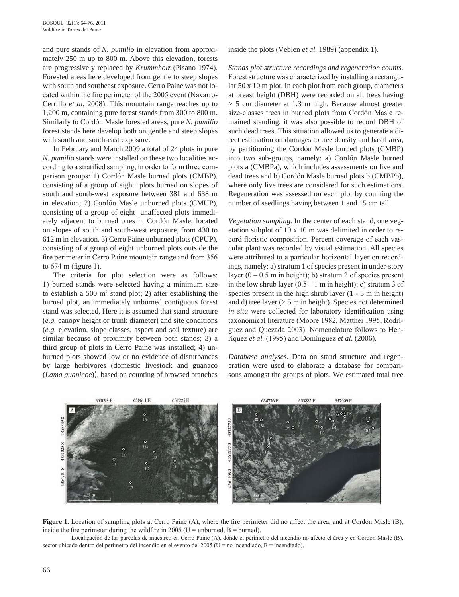and pure stands of *N. pumilio* in elevation from approximately 250 m up to 800 m. Above this elevation, forests are progressively replaced by *Krummholz* (Pisano 1974). Forested areas here developed from gentle to steep slopes with south and southeast exposure. Cerro Paine was not located within the fire perimeter of the 2005 event (Navarro-Cerrillo *et al.* 2008). This mountain range reaches up to 1,200 m, containing pure forest stands from 300 to 800 m. Similarly to Cordón Masle forested areas, pure *N. pumilio* forest stands here develop both on gentle and steep slopes with south and south-east exposure.

In February and March 2009 a total of 24 plots in pure *N. pumilio* stands were installed on these two localities according to a stratified sampling, in order to form three comparison groups: 1) Cordón Masle burned plots (CMBP), consisting of a group of eight plots burned on slopes of south and south-west exposure between 381 and 638 m in elevation; 2) Cordón Masle unburned plots (CMUP), consisting of a group of eight unaffected plots immediately adjacent to burned ones in Cordón Masle, located on slopes of south and south-west exposure, from 430 to 612 m in elevation. 3) Cerro Paine unburned plots (CPUP), consisting of a group of eight unburned plots outside the fire perimeter in Cerro Paine mountain range and from 356 to 674 m (figure 1).

The criteria for plot selection were as follows: 1) burned stands were selected having a minimum size to establish a 500  $m^2$  stand plot; 2) after establishing the burned plot, an immediately unburned contiguous forest stand was selected. Here it is assumed that stand structure (*e.g.* canopy height or trunk diameter) and site conditions (*e.g.* elevation, slope classes, aspect and soil texture) are similar because of proximity between both stands; 3) a third group of plots in Cerro Paine was installed; 4) unburned plots showed low or no evidence of disturbances by large herbivores (domestic livestock and guanaco (*Lama guanicoe*)), based on counting of browsed branches

inside the plots (Veblen *et al.* 1989) (appendix 1).

*Stands plot structure recordings and regeneration counts.*  Forest structure was characterized by installing a rectangular 50 x 10 m plot. In each plot from each group, diameters at breast height (DBH) were recorded on all trees having > 5 cm diameter at 1.3 m high. Because almost greater size-classes trees in burned plots from Cordón Masle remained standing, it was also possible to record DBH of such dead trees. This situation allowed us to generate a direct estimation on damages to tree density and basal area, by partitioning the Cordón Masle burned plots (CMBP) into two sub-groups, namely: a) Cordón Masle burned plots a (CMBPa), which includes assessments on live and dead trees and b) Cordón Masle burned plots b (CMBPb), where only live trees are considered for such estimations. Regeneration was assessed on each plot by counting the number of seedlings having between 1 and 15 cm tall.

*Vegetation sampling.* In the center of each stand, one vegetation subplot of 10 x 10 m was delimited in order to record floristic composition. Percent coverage of each vascular plant was recorded by visual estimation. All species were attributed to a particular horizontal layer on recordings, namely: a) stratum 1 of species present in under-story layer  $(0 - 0.5 \text{ m} \text{ in height})$ ; b) stratum 2 of species present in the low shrub layer  $(0.5 - 1 \text{ m in height})$ ; c) stratum 3 of species present in the high shrub layer (1 - 5 m in height) and d) tree layer  $(55 \text{ m in height})$ . Species not determined *in situ* were collected for laboratory identification using taxonomical literature (Moore 1982, Matthei 1995, Rodríguez and Quezada 2003). Nomenclature follows to Henríquez *et al.* (1995) and Domínguez *et al*. (2006).

*Database analyses.* Data on stand structure and regeneration were used to elaborate a database for comparisons amongst the groups of plots. We estimated total tree



**Figure 1.** Location of sampling plots at Cerro Paine (A), where the fire perimeter did no affect the area, and at Cordón Masle (B), inside the fire perimeter during the wildfire in 2005 ( $U =$  unburned,  $B =$  burned).

Localización de las parcelas de muestreo en Cerro Paine (A), donde el perímetro del incendio no afectó el área y en Cordón Masle (B), sector ubicado dentro del perímetro del incendio en el evento del 2005 (U = no incendiado, B = incendiado).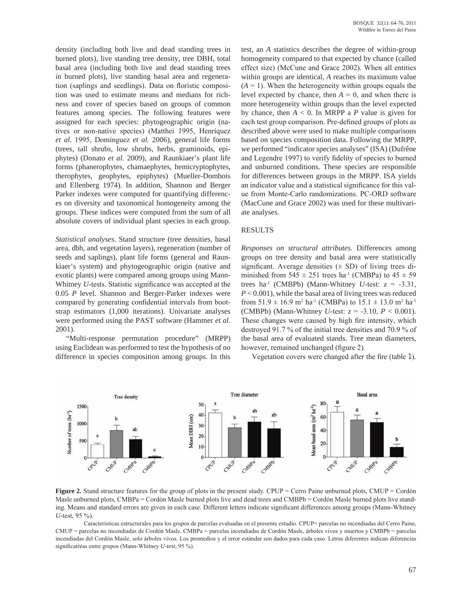density (including both live and dead standing trees in burned plots), live standing tree density, tree DBH, total basal area (including both live and dead standing trees in burned plots), live standing basal area and regeneration (saplings and seedlings). Data on floristic composition was used to estimate means and medians for richness and cover of species based on groups of common features among species. The following features were assigned for each species: phytogeographic origin (natives or non-native species) (Matthei 1995, Henríquez *et al.* 1995, Domínguez *et al.* 2006), general life forms (trees, tall shrubs, low shrubs, herbs, graminoids, epiphytes) (Donato *et al.* 2009), and Raunkiaer's plant life forms (phanerophytes, chamaephytes, hemicryptophytes, therophytes, geophytes, epiphytes) (Mueller-Dombois and Ellenberg 1974). In addition, Shannon and Berger Parker indexes were computed for quantifying differences on diversity and taxonomical homogeneity among the groups. These indices were computed from the sum of all absolute covers of individual plant species in each group.

*Statistical analyses.* Stand structure (tree densities, basal area, dbh, and vegetation layers), regeneration (number of seeds and saplings), plant life forms (general and Raunkiaer's system) and phytogeographic origin (native and exotic plants) were compared among groups using Mann-Whitney *U*-tests. Statistic significance was accepted at the 0.05 *P* level. Shannon and Berger-Parker indexes were compared by generating confidential intervals from bootstrap estimators (1,000 iterations). Univariate analyses were performed using the PAST software (Hammer *et al.* 2001).

"Multi-response permutation procedure" (MRPP) using Euclidean was performed to test the hypothesis of no difference in species composition among groups. In this test, an *A* statistics describes the degree of within-group homogeneity compared to that expected by chance (called effect size) (McCune and Grace 2002). When all entities within groups are identical, *A* reaches its maximum value  $(A = 1)$ . When the heterogeneity within groups equals the level expected by chance, then  $A = 0$ , and when there is more heterogeneity within groups than the level expected by chance, then  $A < 0$ . In MRPP a *P* value is given for each test group comparison. Pre-defined groups of plots as described above were used to make multiple comparisons based on species composition data. Following the MRPP, we performed "indicator species analyses" (ISA) (Dufrêne and Legendre 1997) to verify fidelity of species to burned and unburned conditions. These species are responsible for differences between groups in the MRPP. ISA yields an indicator value and a statistical significance for this value from Monte-Carlo randomizations. PC-ORD software (MacCune and Grace 2002) was used for these multivariate analyses.

# RESULTS

*Responses on structural attributes.* Differences among groups on tree density and basal area were statistically significant. Average densities  $(\pm SD)$  of living trees diminished from  $545 \pm 251$  trees ha<sup>-1</sup> (CMBPa) to  $45 \pm 59$ trees ha<sup>-1</sup> (CMBPb) (Mann-Whitney *U*-test:  $z = -3.31$ , *P* < 0.001), while the basal area of living trees was reduced from  $51.9 \pm 16.9$  m<sup>2</sup> ha<sup>-1</sup> (CMBPa) to  $15.1 \pm 13.0$  m<sup>2</sup> ha<sup>-1</sup> (CMBPb) (Mann-Whitney *U*-test: z = -3.10, *P* < 0.001). These changes were caused by high fire intensity, which destroyed 91.7 % of the initial tree densities and 70.9 % of the basal area of evaluated stands. Tree mean diameters, however, remained unchanged (figure 2).

Vegetation covers were changed after the fire (table 1).



**Figure 2.** Stand structure features for the group of plots in the present study. CPUP = Cerro Paine unburned plots, CMUP = Cordón Masle unburned plots, CMBPa = Cordón Masle burned plots live and dead trees and CMBPb = Cordón Masle burned plots live standing. Means and standard errors are given in each case. Different letters indicate significant differences among groups (Mann-Whitney *U-*test, 95 %).

Características estructurales para los grupos de parcelas evaluadas en el presente estudio. CPUP= parcelas no incendiadas del Cerro Paine, CMUP = parcelas no incendiadas de Cordón Masle, CMBPa = parcelas incendiadas de Cordón Masle, árboles vivos y muertos y CMBPb = parcelas incendiadas del Cordón Masle, solo árboles vivos. Los promedios y el error estándar son dados para cada caso. Letras diferentes indican diferencias significativas entre grupos (Mann-Whitney *U*-*test*, 95 %).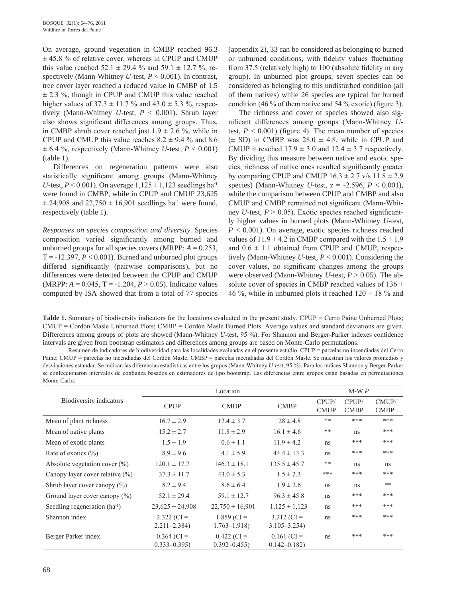On average, ground vegetation in CMBP reached 96.3  $\pm$  45.8 % of relative cover, whereas in CPUP and CMUP this value reached  $52.1 \pm 29.4$  % and  $59.1 \pm 12.7$  %, respectively (Mann-Whitney *U*-test, *P* < 0.001). In contrast, tree cover layer reached a reduced value in CMBP of 1.5  $\pm$  2.3 %, though in CPUP and CMUP this value reached higher values of  $37.3 \pm 11.7$  % and  $43.0 \pm 5.3$  %, respectively (Mann-Whitney *U*-test, *P* < 0.001). Shrub layer also shows significant differences among groups. Thus, in CMBP shrub cover reached just  $1.9 \pm 2.6$  %, while in CPUP and CMUP this value reaches  $8.2 \pm 9.4$  % and  $8.6$  $\pm$  6.4 %, respectively (Mann-Whitney *U*-test, *P* < 0.001) (table 1).

Differences on regeneration patterns were also statistically significant among groups (Mann-Whitney *U*-test,  $P < 0.001$ ). On average  $1,125 \pm 1,123$  seedlings ha<sup>-1</sup> were found in CMBP, while in CPUP and CMUP 23,625  $\pm$  24,908 and 22,750  $\pm$  16,901 seedlings ha<sup>-1</sup> were found, respectively (table 1).

*Responses on species composition and diversity.* Species composition varied significantly among burned and unburned groups for all species covers (MRPP: *A* = 0.253,  $T = -12.397, P < 0.001$ ). Burned and unburned plot groups differed significantly (pairwise comparisons), but no differences were detected between the CPUP and CMUP (MRPP:  $A = 0.045$ , T =  $-1.204$ ,  $P > 0.05$ ). Indicator values computed by ISA showed that from a total of 77 species (appendix 2), 33 can be considered as belonging to burned or unburned conditions, with fidelity values fluctuating from 37.5 (relatively high) to 100 (absolute fidelity in any group). In unburned plot groups, seven species can be considered as belonging to this undisturbed condition (all of them natives) while 26 species are typical for burned condition (46 % of them native and 54 % exotic) (figure 3).

The richness and cover of species showed also significant differences among groups (Mann-Whitney *U*test,  $P < 0.001$ ) (figure 4). The mean number of species  $(\pm$  SD) in CMBP was 28.0  $\pm$  4.8, while in CPUP and CMUP it reached  $17.9 \pm 3.0$  and  $12.4 \pm 3.7$  respectively. By dividing this measure between native and exotic species, richness of native ones resulted significantly greater by comparing CPUP and CMUP  $16.3 \pm 2.7$  v/s  $11.8 \pm 2.9$ species) (Mann-Whitney *U*-test, z = -2.596, *P* < 0.001), while the comparison between CPUP and CMBP and also CMUP and CMBP remained not significant (Mann-Whitney *U*-test, *P* > 0.05). Exotic species reached significantly higher values in burned plots (Mann-Whitney *U*-test, *P* < 0.001). On average, exotic species richness reached values of  $11.9 \pm 4.2$  in CMBP compared with the  $1.5 \pm 1.9$ and  $0.6 \pm 1.1$  obtained from CPUP and CMUP, respectively (Mann-Whitney *U*-test, *P* < 0.001). Considering the cover values, no significant changes among the groups were observed (Mann-Whitney *U*-test, *P* > 0.05). The absolute cover of species in CMBP reached values of  $136 \pm$ 46 %, while in unburned plots it reached  $120 \pm 18$  % and

**Table 1.** Summary of biodiversity indicators for the locations evaluated in the present study. CPUP = Cerro Paine Unburned Plots; CMUP = Cordón Masle Unburned Plots; CMBP = Cordón Masle Burned Plots. Average values and standard deviations are given. Differences among groups of plots are showed (Mann-Whitney *U*-test, 95 %). For Shannon and Berger-Parker indexes confidence intervals are given from bootstrap estimators and differences among groups are based on Monte-Carlo permutations.

Resumen de indicadores de biodiversidad para las localidades evaluadas en el presente estudio. CPUP = parcelas no incendiadas del Cerro Paine; CMUP = parcelas no incendiadas del Cordón Masle; CMBP = parcelas incendiadas del Cordón Masle. Se muestran los valores promedios y desviaciones estándar. Se indican las diferencias estadísticas entre los grupos (Mann-Whitney *U*-*test*, 95 %). Para los índices Shannon y Berger-Parker se confeccionaron intervalos de confianza basados en estimadores de tipo bootstrap. Las diferencias entre grupos están basadas en permutaciones Monte-Carlo.

|                                     |                     | Location            | $M-WP$            |                     |                      |                      |
|-------------------------------------|---------------------|---------------------|-------------------|---------------------|----------------------|----------------------|
| Biodiversity indicators             | <b>CPUP</b>         | <b>CMUP</b>         | <b>CMBP</b>       |                     | CPUP/<br><b>CMBP</b> | CMUP/<br><b>CMBP</b> |
| Mean of plant richness              | $16.7 \pm 2.9$      | $12.4 \pm 3.7$      | $28 \pm 4.8$      | <b>CMUP</b><br>$**$ | ***                  | ***                  |
| Mean of native plants               | $15.2 \pm 2.7$      | $11.8 \pm 2.9$      | $16.1 \pm 4.6$    | **                  | ns                   | ***                  |
| Mean of exotic plants               | $1.5 \pm 1.9$       | $0.6 \pm 1.1$       | $11.9 \pm 4.2$    | ns                  | ***                  | ***                  |
| Rate of exotics $(\% )$             | $8.9 \pm 9.6$       | $4.1 \pm 5.9$       | $44.4 \pm 13.3$   | ns                  | ***                  | ***                  |
| Absolute vegetation cover $(\% )$   | $120.1 \pm 17.7$    | $146.3 \pm 18.1$    | $135.5 \pm 45.7$  | **                  | ns                   | <sub>ns</sub>        |
| Canopy layer cover relative $(\% )$ | $37.3 \pm 11.7$     | $43.0 \pm 5.3$      | $1.5 \pm 2.3$     | ***                 | ***                  | ***                  |
| Shrub layer cover canopy $(\%)$     | $8.2 \pm 9.4$       | $8.6 \pm 6.4$       | $1.9 \pm 2.6$     | ns                  | ns                   | $**$                 |
| Ground layer cover canopy $(\%)$    | $52.1 \pm 29.4$     | $59.1 \pm 12.7$     | $96.3 \pm 45.8$   | ns                  | ***                  | ***                  |
| Seedling regeneration $(ha^{-1})$   | $23,625 \pm 24,908$ | $22,750 \pm 16,901$ | $1,125 \pm 1,123$ | ns                  | ***                  | ***                  |
| Shannon index                       | $2.322$ (CI =       | $1.859$ (CI =       | $3.212$ (CI =     | ns                  | ***                  | ***                  |
|                                     | $2.211 - 2.384$     | $1.763 - 1.918$     | $3.105 - 3.254$   |                     |                      |                      |
| Berger Parker index                 | $0.364$ (CI =       | $0.422$ (CI =       | $0.161$ (CI =     | ns                  | ***                  | ***                  |
|                                     | $0.333 - 0.395$     | $0.392 - 0.455$     | $0.142 - 0.182$   |                     |                      |                      |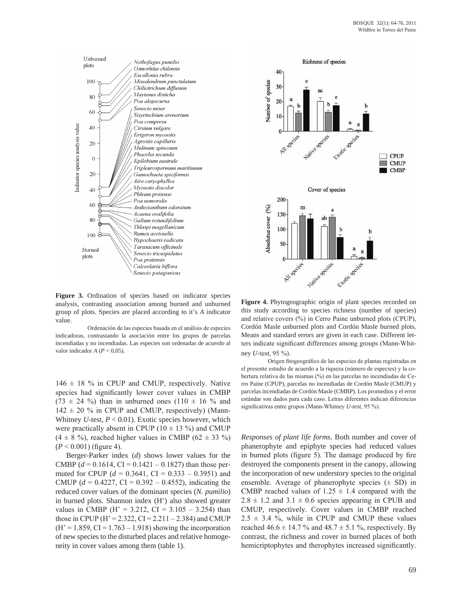

**Figure 3.** Ordination of species based on indicator species analysis, contrasting association among burned and unburned group of plots. Species are placed according to it's *A* indicator value.

Ordenación de las especies basada en el análisis de especies indicadoras, contrastando la asociación entre los grupos de parcelas incendiadas y no incendiadas. Las especies son ordenadas de acuerdo al valor indicador *A* (*P* < 0,05).

 $146 \pm 18$  % in CPUP and CMUP, respectively. Native species had significantly lower cover values in CMBP  $(73 \pm 24 \%)$  than in unburned ones  $(110 \pm 16 \%)$  and  $142 \pm 20$  % in CPUP and CMUP, respectively) (Mann-Whitney *U*-test, *P* < 0.01). Exotic species however, which were practically absent in CPUP ( $10 \pm 13$  %) and CMUP  $(4 \pm 8 \%)$ , reached higher values in CMBP  $(62 \pm 33 \%)$  $(P < 0.001)$  (figure 4).

Berger-Parker index (*d*) shows lower values for the CMBP  $(d = 0.1614, CI = 0.1421 - 0.1827)$  than those permuted for CPUP ( $d = 0.3641$ , CI = 0.333 – 0.3951) and CMUP ( $d = 0.4227$ , CI = 0.392 – 0.4552), indicating the reduced cover values of the dominant species (*N. pumilio*) in burned plots. Shannon index (H') also showed greater values in CMBP (H' =  $3.212$ , CI =  $3.105 - 3.254$ ) than those in CPUP (H' = 2.322, CI = 2.211 – 2.384) and CMUP  $(H' = 1.859, CI = 1.763 - 1.918)$  showing the incorporation of new species to the disturbed places and relative homogeneity in cover values among them (table 1).



**Figure 4.** Phytogeographic origin of plant species recorded on this study according to species richness (number of species) and relative covers (%) in Cerro Paine unburned plots (CPUP), Cordón Masle unburned plots and Cordón Masle burned plots. Means and standard errors are given in each case. Different letters indicate significant differences among groups (Mann-Whitney *U*-test, 95 %).

Origen fitogeográfico de las especies de plantas registradas en el presente estudio de acuerdo a la riqueza (número de especies) y la cobertura relativa de las mismas (%) en las parcelas no incendiadas de Cerro Paine (CPUP), parcelas no incendiadas de Cordón Masle (CMUP) y parcelas incendiadas de Cordón Masle (CMBP). Los promedios y el error estándar son dados para cada caso. Letras diferentes indican diferencias significativas entre grupos (Mann-Whitney *U*-*test*, 95 %).

*Responses of plant life forms.* Both number and cover of phanerophyte and epiphyte species had reduced values in burned plots (figure 5). The damage produced by fire destroyed the components present in the canopy, allowing the incorporation of new understory species to the original ensemble. Average of phanerophyte species  $(\pm SD)$  in CMBP reached values of  $1.25 \pm 1.4$  compared with the  $2.8 \pm 1.2$  and  $3.1 \pm 0.6$  species appearing in CPUB and CMUP, respectively. Cover values in CMBP reached  $2.5 \pm 3.4$  %, while in CPUP and CMUP these values reached  $46.6 \pm 14.7$  % and  $48.7 \pm 5.1$  %, respectively. By contrast, the richness and cover in burned places of both hemicriptophytes and therophytes increased significantly.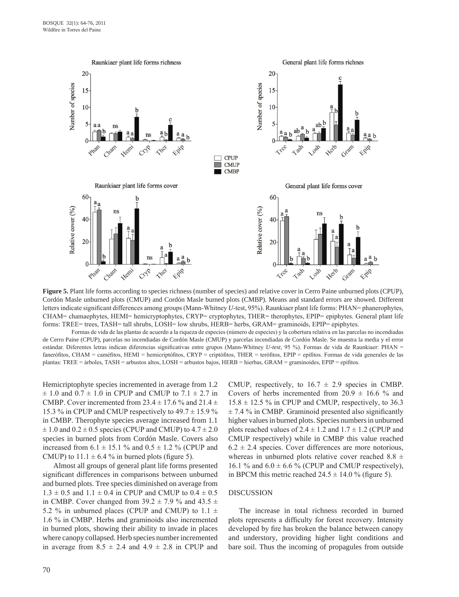

**Figure 5.** Plant life forms according to species richness (number of species) and relative cover in Cerro Paine unburned plots (CPUP), Cordón Masle unburned plots (CMUP) and Cordón Masle burned plots (CMBP). Means and standard errors are showed. Different letters indicate significant differences among groups (Mann-Whitney *U*-test, 95%). Raunkiaer plant life forms: PHAN= phanerophytes, CHAM= chamaephytes, HEMI= hemicryptophytes, CRYP= cryptophytes, THER= therophytes, EPIP= epiphytes. General plant life forms: TREE= trees, TASH= tall shrubs, LOSH= low shrubs, HERB= herbs, GRAM= graminoids, EPIP= epiphytes.

Formas de vida de las plantas de acuerdo a la riqueza de especies (número de especies) y la cobertura relativa en las parcelas no incendiadas de Cerro Paine (CPUP), parcelas no incendiadas de Cordón Masle (CMUP) y parcelas incendiadas de Cordón Masle. Se muestra la media y el error estándar. Diferentes letras indican diferencias significativas entre grupos (Mann-Whitney *U*-*test*, 95 %). Formas de vida de Raunkiaer: PHAN = fanerófitos, CHAM = caméfitos, HEMI = hemicriptófitos, CRYP = criptófitos, THER = terófitos, EPIP = epifitos. Formas de vida generales de las plantas: TREE = árboles, TASH = arbustos altos, LOSH = arbustos bajos, HERB = hierbas, GRAM = graminoides, EPIP = epifitos.

Hemicriptophyte species incremented in average from 1.2  $\pm$  1.0 and 0.7  $\pm$  1.0 in CPUP and CMUP to 7.1  $\pm$  2.7 in CMBP. Cover incremented from  $23.4 \pm 17.6$  % and  $21.4 \pm 17.6$ 15.3 % in CPUP and CMUP respectively to  $49.7 \pm 15.9$  % in CMBP. Therophyte species average increased from 1.1  $\pm$  1.0 and 0.2  $\pm$  0.5 species (CPUP and CMUP) to 4.7  $\pm$  2.0 species in burned plots from Cordón Masle. Covers also increased from  $6.1 \pm 15.1$  % and  $0.5 \pm 1.2$  % (CPUP and CMUP) to  $11.1 \pm 6.4$  % in burned plots (figure 5).

Almost all groups of general plant life forms presented significant differences in comparisons between unburned and burned plots. Tree species diminished on average from  $1.3 \pm 0.5$  and  $1.1 \pm 0.4$  in CPUP and CMUP to  $0.4 \pm 0.5$ in CMBP. Cover changed from  $39.2 \pm 7.9$  % and  $43.5 \pm 1.5$ 5.2 % in unburned places (CPUP and CMUP) to  $1.1 \pm$ 1.6 % in CMBP. Herbs and graminoids also incremented in burned plots, showing their ability to invade in places where canopy collapsed. Herb species number incremented in average from  $8.5 \pm 2.4$  and  $4.9 \pm 2.8$  in CPUP and

CMUP, respectively, to  $16.7 \pm 2.9$  species in CMBP. Covers of herbs incremented from  $20.9 \pm 16.6$  % and  $15.8 \pm 12.5$  % in CPUP and CMUP, respectively, to 36.3  $\pm$  7.4 % in CMBP. Graminoid presented also significantly higher values in burned plots. Species numbers in unburned plots reached values of  $2.4 \pm 1.2$  and  $1.7 \pm 1.2$  (CPUP and CMUP respectively) while in CMBP this value reached  $6.2 \pm 2.4$  species. Cover differences are more notorious, whereas in unburned plots relative cover reached 8.8  $\pm$ 16.1 % and  $6.0 \pm 6.6$  % (CPUP and CMUP respectively), in BPCM this metric reached  $24.5 \pm 14.0$  % (figure 5).

#### DISCUSSION

The increase in total richness recorded in burned plots represents a difficulty for forest recovery. Intensity developed by fire has broken the balance between canopy and understory, providing higher light conditions and bare soil. Thus the incoming of propagules from outside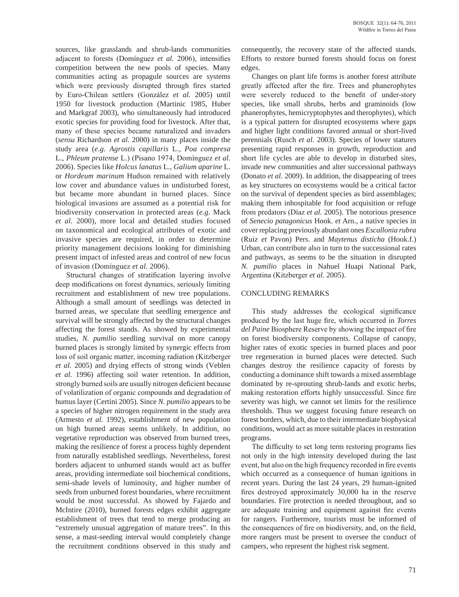sources, like grasslands and shrub-lands communities adjacent to forests (Domínguez *et al.* 2006), intensifies competition between the new pools of species. Many communities acting as propagule sources are systems which were previously disrupted through fires started by Euro-Chilean settlers (González *et al.* 2005) until 1950 for livestock production (Martinic 1985, Huber and Markgraf 2003), who simultaneously had introduced exotic species for providing food for livestock. After that, many of these species became naturalized and invaders (*sensu* Richardson *et al.* 2000) in many places inside the study area (*e.g. Agrostis capillaris* L., *Poa compresa* L., *Phleum pratense* L.) (Pisano 1974, Domínguez *et al.* 2006). Species like *Holcus lanatus* L., *Galium aparine* L. or *Hordeum marinum* Hudson remained with relatively low cover and abundance values in undisturbed forest, but became more abundant in burned places. Since biological invasions are assumed as a potential risk for biodiversity conservation in protected areas (*e.g.* Mack *et al.* 2000), more local and detailed studies focused on taxonomical and ecological attributes of exotic and invasive species are required, in order to determine priority management decisions looking for diminishing present impact of infested areas and control of new focus of invasion (Domínguez *et al.* 2006).

Structural changes of stratification layering involve deep modifications on forest dynamics, seriously limiting recruitment and establishment of new tree populations. Although a small amount of seedlings was detected in burned areas, we speculate that seedling emergence and survival will be strongly affected by the structural changes affecting the forest stands. As showed by experimental studies, *N. pumilio* seedling survival on more canopy burned places is strongly limited by synergic effects from loss of soil organic matter, incoming radiation (Kitzberger *et al.* 2005) and drying effects of strong winds (Veblen *et al.* 1996) affecting soil water retention. In addition, strongly burned soils are usually nitrogen deficient because of volatilization of organic compounds and degradation of humus layer (Certini 2005). Since *N. pumilio* appears to be a species of higher nitrogen requirement in the study area (Armesto *et al.* 1992), establishment of new population on high burned areas seems unlikely. In addition, no vegetative reproduction was observed from burned trees, making the resilience of forest a process highly dependent from naturally established seedlings. Nevertheless, forest borders adjacent to unburned stands would act as buffer areas, providing intermediate soil biochemical conditions, semi-shade levels of luminosity, and higher number of seeds from unburned forest boundaries, where recruitment would be most successful. As showed by Fajardo and McIntire (2010), burned forests edges exhibit aggregate establishment of trees that tend to merge producing an "extremely unusual aggregation of mature trees". In this sense, a mast-seeding interval would completely change the recruitment conditions observed in this study and

consequently, the recovery state of the affected stands. Efforts to restore burned forests should focus on forest edges.

Changes on plant life forms is another forest attribute greatly affected after the fire. Trees and phanerophytes were severely reduced to the benefit of under-story species, like small shrubs, herbs and graminoids (low phanerophytes, hemicryptophytes and therophytes), which is a typical pattern for disrupted ecosystems where gaps and higher light conditions favored annual or short-lived perennials (Rusch *et al.* 2003). Species of lower statures presenting rapid responses in growth, reproduction and short life cycles are able to develop in disturbed sites, invade new communities and alter successional pathways (Donato *et al.* 2009). In addition, the disappearing of trees as key structures on ecosystems would be a critical factor on the survival of dependent species as bird assemblages; making them inhospitable for food acquisition or refuge from predators (Díaz *et al.* 2005). The notorious presence of *Senecio patagonicus* Hook. *et* Arn., a native species in cover replacing previously abundant ones *Escallonia rubra* (Ruiz *et* Pavon) Pers. and *Maytenus disticha* (Hook.f.) Urban*,* can contribute also in turn to the successional rates and pathways, as seems to be the situation in disrupted *N. pumilio* places in Nahuel Huapi National Park, Argentina (Kitzberger *et al*. 2005).

### CONCLUDING REMARKS

This study addresses the ecological significance produced by the last huge fire, which occurred in *Torres del Paine* Biosphere Reserve by showing the impact of fire on forest biodiversity components. Collapse of canopy, higher rates of exotic species in burned places and poor tree regeneration in burned places were detected. Such changes destroy the resilience capacity of forests by conducting a dominance shift towards a mixed assemblage dominated by re-sprouting shrub-lands and exotic herbs, making restoration efforts highly unsuccessful. Since fire severity was high, we cannot set limits for the resilience thresholds. Thus we suggest focusing future research on forest borders, which, due to their intermediate biophysical conditions, would act as more suitable places in restoration programs.

The difficulty to set long term restoring programs lies not only in the high intensity developed during the last event, but also on the high frequency recorded in fire events which occurred as a consequence of human ignitions in recent years. During the last 24 years, 29 human-ignited fires destroyed approximately 30,000 ha in the reserve boundaries. Fire protection is needed throughout, and so are adequate training and equipment against fire events for rangers. Furthermore, tourists must be informed of the consequences of fire on biodiversity, and, on the field, more rangers must be present to oversee the conduct of campers, who represent the highest risk segment.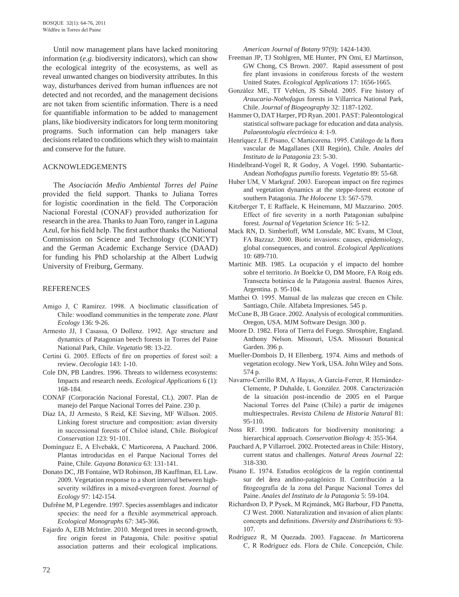Until now management plans have lacked monitoring information (*e.g.* biodiversity indicators), which can show the ecological integrity of the ecosystems, as well as reveal unwanted changes on biodiversity attributes. In this way, disturbances derived from human influences are not detected and not recorded, and the management decisions are not taken from scientific information. There is a need for quantifiable information to be added to management plans, like biodiversity indicators for long term monitoring programs. Such information can help managers take decisions related to conditions which they wish to maintain and conserve for the future.

#### ACKNOWLEDGEMENTS

The *Asociación Medio Ambiental Torres del Paine* provided the field support. Thanks to Juliana Torres for logistic coordination in the field. The Corporación Nacional Forestal (CONAF) provided authorization for research in the area. Thanks to Juan Toro, ranger in Laguna Azul, for his field help. The first author thanks the National Commission on Science and Technology (CONICYT) and the German Academic Exchange Service (DAAD) for funding his PhD scholarship at the Albert Ludwig University of Freiburg, Germany.

#### REFERENCES

- Amigo J, C Ramírez. 1998. A bioclimatic classification of Chile: woodland communities in the temperate zone. *Plant Ecology* 136: 9-26.
- Armesto JJ, I Casassa, O Dollenz. 1992. Age structure and dynamics of Patagonian beech forests in Torres del Paine National Park, Chile. *Vegetatio* 98: 13-22.
- Certini G. 2005. Effects of fire on properties of forest soil: a review. *Oecologia* 143: 1-10.
- Cole DN, PB Landres. 1996. Threats to wilderness ecosystems: Impacts and research needs. *Ecological Applications* 6 (1): 168-184.
- CONAF (Corporación Nacional Forestal, CL). 2007. Plan de manejo del Parque Nacional Torres del Paine. 230 p.
- Díaz IA, JJ Armesto, S Reid, KE Sieving, MF Willson. 2005. Linking forest structure and composition: avian diversity in successional forests of Chiloé island, Chile. *Biological Conservation* 123: 91-101.
- Domínguez E, A Elvebakk, C Marticorena, A Pauchard. 2006. Plantas introducidas en el Parque Nacional Torres del Paine, Chile. *Gayana Botanica* 63: 131-141.
- Donato DC, JB Fontaine, WD Robinson, JB Kauffman, EL Law. 2009. Vegetation response to a short interval between highseverity wildfires in a mixed-evergreen forest. *Journal of Ecology* 97: 142-154.
- Dufrêne M, P Legendre. 1997. Species assemblages and indicator species: the need for a flexible asymmetrical approach. *Ecological Monographs* 67: 345-366.
- Fajardo A, EJB McIntire. 2010. Merged trees in second-growth, fire origin forest in Patagonia, Chile: positive spatial association patterns and their ecological implications.

*American Journal of Botany* 97(9): 1424-1430.

- Freeman JP, TJ Stohlgren, ME Hunter, PN Omi, EJ Martinson, GW Chong, CS Brown. 2007. Rapid assessment of post fire plant invasions in coniferous forests of the western United States. *Ecological Applications* 17: 1656-1665.
- González ME, TT Veblen, JS Sibold. 2005. Fire history of *Araucaria-Nothofagus* forests in Villarrica National Park, Chile. *Journal of Biogeography* 32: 1187-1202.
- Hammer O, DAT Harper, PD Ryan. 2001. PAST: Paleontological statistical software package for education and data analysis. *Palaeontología electrónica* 4: 1-9.
- Henríquez J, E Pisano, C Marticorena. 1995. Catálogo de la flora vascular de Magallanes (XII Región), Chile. *Anales del Instituto de la Patagonia* 23: 5-30.
- Hindelbrand-Vogel R, R Godoy, A Vogel. 1990. Subantartic-Andean *Nothofagus pumilio* forests. *Vegetatio* 89: 55-68.
- Huber UM, V Markgraf. 2003. European impact on fire regimes and vegetation dynamics at the steppe-forest ecotone of southern Patagonia. *The Holocene* 13: 567-579.
- Kitzberger T, E Raffaele, K Heinemann, MJ Mazzarino. 2005. Effect of fire severity in a north Patagonian subalpine forest. *Journal of Vegetation Science* 16: 5-12.
- Mack RN, D. Simberloff, WM Lonsdale, MC Evans, M Clout, FA Bazzaz. 2000. Biotic invasions: causes, epidemiology, global consequences, and control. *Ecological Applications* 10: 689-710.
- Martinic MB. 1985. La ocupación y el impacto del hombre sobre el territorio. *In* Boelcke O, DM Moore, FA Roig eds. Transecta botánica de la Patagonia austral. Buenos Aires, Argentina. p. 95-104.
- Matthei O. 1995. Manual de las malezas que crecen en Chile. Santiago, Chile. Alfabeta Impresiones. 545 p.
- McCune B, JB Grace. 2002. Analysis of ecological communities. Oregon, USA. MJM Software Design. 300 p.
- Moore D. 1982. Flora of Tierra del Fuego. Shrosphire, England. Anthony Nelson. Missouri, USA. Missouri Botanical Garden. 396 p.
- Mueller-Dombois D, H Ellenberg. 1974. Aims and methods of vegetation ecology. New York, USA. John Wiley and Sons. 574 p.
- Navarro-Cerrillo RM, A Hayas, A García-Ferrer, R Hernández-Clemente, P Duhalde, L González. 2008. Caracterización de la situación post-incendio de 2005 en el Parque Nacional Torres del Paine (Chile) a partir de imágenes multiespectrales. *Revista Chilena de Historia Natural* 81: 95-110.
- Noss RF. 1990. Indicators for biodiversity monitoring: a hierarchical approach. *Conservation Biology* 4: 355-364.
- Pauchard A, P Villarroel. 2002. Protected areas in Chile: History, current status and challenges. *Natural Areas Journal* 22: 318-330.
- Pisano E. 1974. Estudios ecológicos de la región continental sur del área andino-patagónico II. Contribución a la fitogeografía de la zona del Parque Nacional Torres del Paine. *Anales del Instituto de la Patagonia* 5: 59-104.
- Richardson D, P Pysek, M Rejmánek, MG Barbour, FD Panetta, CJ West. 2000. Naturalization and invasion of alien plants: concepts and definitions. *Diversity and Distributions* 6: 93- 107.
- Rodríguez R, M Quezada. 2003. Fagaceae. *In* Marticorena C, R Rodríguez eds. Flora de Chile. Concepción, Chile.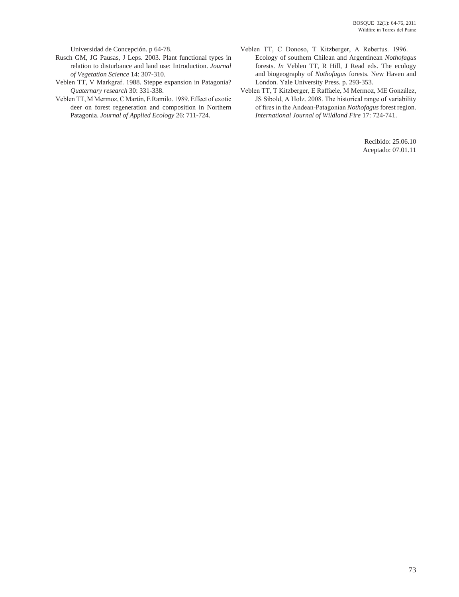Universidad de Concepción. p 64-78.

- Rusch GM, JG Pausas, J Leps. 2003. Plant functional types in relation to disturbance and land use: Introduction. *Journal of Vegetation Science* 14: 307-310.
- Veblen TT, V Markgraf. 1988. Steppe expansion in Patagonia? *Quaternary research* 30: 331-338.
- Veblen TT, M Mermoz, C Martin, E Ramilo. 1989. Effect of exotic deer on forest regeneration and composition in Northern Patagonia. *Journal of Applied Ecology* 26: 711-724.
- Veblen TT, C Donoso, T Kitzberger, A Rebertus. 1996. Ecology of southern Chilean and Argentinean *Nothofagus* forests. *In* Veblen TT, R Hill, J Read eds. The ecology and biogeography of *Nothofagus* forests. New Haven and London. Yale University Press. p. 293-353.
- Veblen TT, T Kitzberger, E Raffaele, M Mermoz, ME González, JS Sibold, A Holz. 2008. The historical range of variability of fires in the Andean-Patagonian *Nothofagus* forest region. *International Journal of Wildland Fire* 17: 724-741.

Recibido: 25.06.10 Aceptado: 07.01.11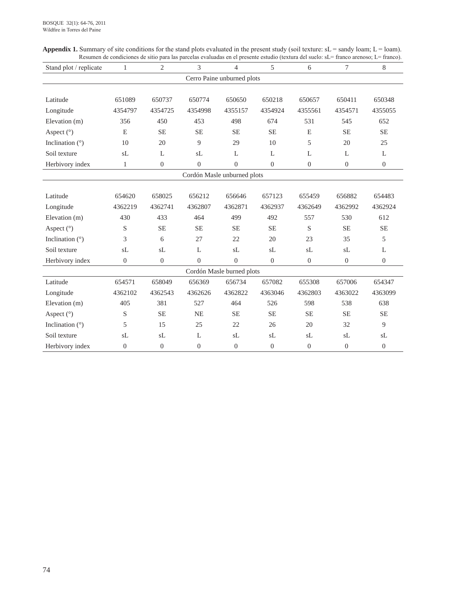| <b>Appendix 1.</b> Summary of site conditions for the stand plots evaluated in the present study (soil texture: $sL =$ sandy loam; $L =$ loam). |  |
|-------------------------------------------------------------------------------------------------------------------------------------------------|--|
| Resumen de condiciones de sitio para las parcelas evaluadas en el presente estudio (textura del suelo: sL= franco arenoso; L= franco).          |  |

| Stand plot / replicate     | $\mathbf{1}$   | 2                | 3              | $\overline{4}$              | 5              | 6              | 7              | 8                |  |  |
|----------------------------|----------------|------------------|----------------|-----------------------------|----------------|----------------|----------------|------------------|--|--|
| Cerro Paine unburned plots |                |                  |                |                             |                |                |                |                  |  |  |
|                            |                |                  |                |                             |                |                |                |                  |  |  |
| Latitude                   | 651089         | 650737           | 650774         | 650650                      | 650218         | 650657         | 650411         | 650348           |  |  |
| Longitude                  | 4354797        | 4354725          | 4354998        | 4355157                     | 4354924        | 4355561        | 4354571        | 4355055          |  |  |
| Elevation (m)              | 356            | 450              | 453            | 498                         | 674            | 531            | 545            | 652              |  |  |
| Aspect (°)                 | E              | <b>SE</b>        | <b>SE</b>      | <b>SE</b>                   | <b>SE</b>      | E              | <b>SE</b>      | <b>SE</b>        |  |  |
| Inclination $(°)$          | 10             | 20               | 9              | 29                          | 10             | 5              | 20             | 25               |  |  |
| Soil texture               | sL             | L                | sL             | L                           | L              | L              | L              | L                |  |  |
| Herbivory index            | $\mathbf{1}$   | $\boldsymbol{0}$ | $\overline{0}$ | $\overline{0}$              | $\overline{0}$ | $\overline{0}$ | $\overline{0}$ | $\boldsymbol{0}$ |  |  |
|                            |                |                  |                | Cordón Masle unburned plots |                |                |                |                  |  |  |
|                            |                |                  |                |                             |                |                |                |                  |  |  |
| Latitude                   | 654620         | 658025           | 656212         | 656646                      | 657123         | 655459         | 656882         | 654483           |  |  |
| Longitude                  | 4362219        | 4362741          | 4362807        | 4362871                     | 4362937        | 4362649        | 4362992        | 4362924          |  |  |
| Elevation (m)              | 430            | 433              | 464            | 499                         | 492            | 557            | 530            | 612              |  |  |
| Aspect $(°)$               | S              | <b>SE</b>        | <b>SE</b>      | <b>SE</b>                   | <b>SE</b>      | S              | <b>SE</b>      | <b>SE</b>        |  |  |
| Inclination $(°)$          | 3              | 6                | 27             | 22                          | 20             | 23             | 35             | 5                |  |  |
| Soil texture               | sL             | sL               | L              | sL                          | sL             | sL<br>sL       |                | L                |  |  |
| Herbivory index            | $\overline{0}$ | $\boldsymbol{0}$ | $\Omega$       | $\Omega$                    | $\Omega$       | $\overline{0}$ | $\overline{0}$ | $\overline{0}$   |  |  |
|                            |                |                  |                | Cordón Masle burned plots   |                |                |                |                  |  |  |
| Latitude                   | 654571         | 658049           | 656369         | 656734                      | 657082         | 655308         | 657006         | 654347           |  |  |
| Longitude                  | 4362102        | 4362543          | 4362626        | 4362822                     | 4363046        | 4362803        | 4363022        | 4363099          |  |  |
| Elevation (m)              | 405            | 381              | 527            | 464                         | 526            | 598            | 538            | 638              |  |  |
| Aspect (°)                 | S              | <b>SE</b>        | <b>NE</b>      | <b>SE</b>                   | <b>SE</b>      | <b>SE</b>      | <b>SE</b>      | <b>SE</b>        |  |  |
| Inclination $(°)$          | 5              | 15               | 25             | 22                          | 26             | 20             | 32             | 9                |  |  |
| Soil texture               | sL             | sL               | L              | sL                          | sL             | sL             | sL             | sL               |  |  |
| Herbivory index            | $\overline{0}$ | $\theta$         | $\theta$       | $\overline{0}$              | $\theta$       | $\overline{0}$ | $\overline{0}$ | $\theta$         |  |  |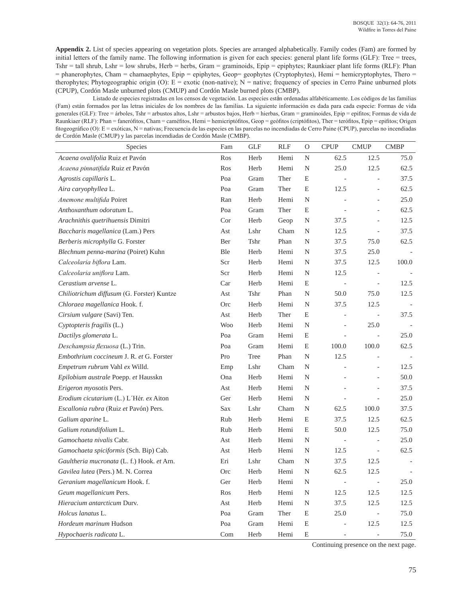**Appendix 2.** List of species appearing on vegetation plots. Species are arranged alphabetically. Family codes (Fam) are formed by initial letters of the family name. The following information is given for each species: general plant life forms (GLF): Tree = trees, Tshr = tall shrub, Lshr = low shrubs, Herb = herbs, Gram = graminoids, Epip = epiphytes; Raunkiaer plant life forms (RLF): Phan = phanerophytes, Cham = chamaephytes, Epip = epiphytes, Geop= geophytes (Cryptophytes), Hemi = hemicryptophytes, Thero = therophytes; Phytogeographic origin (O):  $E =$  exotic (non-native);  $N =$  native; frequency of species in Cerro Paine unburned plots (CPUP), Cordón Masle unburned plots (CMUP) and Cordón Masle burned plots (CMBP).

Listado de especies registradas en los censos de vegetación. Las especies están ordenadas alfabéticamente. Los códigos de las familias (Fam) están formados por las letras iniciales de los nombres de las familias. La siguiente información es dada para cada especie: Formas de vida generales (GLF): Tree = árboles, Tshr = arbustos altos, Lshr = arbustos bajos, Herb = hierbas, Gram = graminoides, Epip = epifitos; Formas de vida de Raunkiaer (RLF): Phan = fanerófitos, Cham = caméfitos, Hemi = hemicriptófitos, Geop = geófitos (criptófitos), Ther = terófitos, Epip = epifitos; Origen fitogeográfico (O): E = exóticas, N = nativas; Frecuencia de las especies en las parcelas no incendiadas de Cerro Paine (CPUP), parcelas no incendiadas de Cordón Masle (CMUP) y las parcelas incendiadas de Cordón Masle (CMBP).

| Species                                    | Fam        | <b>GLF</b> | <b>RLF</b> | $\mathcal{O}$ | <b>CPUP</b>              | <b>CMUP</b>              | <b>CMBP</b> |
|--------------------------------------------|------------|------------|------------|---------------|--------------------------|--------------------------|-------------|
| Acaena ovalifolia Ruiz et Pavón            | Ros        | Herb       | Hemi       | $\mathbf N$   | 62.5                     | 12.5                     | 75.0        |
| Acaena pinnatifida Ruiz et Pavón           | Ros        | Herb       | Hemi       | ${\bf N}$     | 25.0                     | 12.5                     | 62.5        |
| Agrostis capillaris L.                     | Poa        | Gram       | Ther       | E             | $\overline{\phantom{a}}$ | $\overline{a}$           | 37.5        |
| Aira caryophyllea L.                       | Poa        | Gram       | Ther       | E             | 12.5                     | $\overline{a}$           | 62.5        |
| Anemone multifida Poiret                   | Ran        | Herb       | Hemi       | ${\bf N}$     |                          | $\overline{a}$           | 25.0        |
| Anthoxanthum odoratum L.                   | Poa        | Gram       | Ther       | $\mathbf E$   |                          |                          | 62.5        |
| Arachnithis quetrihuensis Dimitri          | Cor        | Herb       | Geop       | ${\bf N}$     | 37.5                     | $\overline{a}$           | 12.5        |
| Baccharis magellanica (Lam.) Pers          | Ast        | Lshr       | Cham       | ${\bf N}$     | 12.5                     | $\overline{\phantom{0}}$ | 37.5        |
| Berberis microphylla G. Forster            | Ber        | Tshr       | Phan       | ${\bf N}$     | 37.5                     | 75.0                     | 62.5        |
| Blechnum penna-marina (Poiret) Kuhn        | Ble        | Herb       | Hemi       | ${\bf N}$     | 37.5                     | 25.0                     |             |
| Calceolaria biflora Lam.                   | Scr        | Herb       | Hemi       | ${\bf N}$     | 37.5                     | 12.5                     | 100.0       |
| Calceolaria uniflora Lam.                  | Scr        | Herb       | Hemi       | ${\bf N}$     | 12.5                     |                          |             |
| Cerastium arvense L.                       | Car        | Herb       | Hemi       | E             |                          | $\overline{\phantom{0}}$ | 12.5        |
| Chiliotrichum diffusum (G. Forster) Kuntze | Ast        | Tshr       | Phan       | N             | 50.0                     | 75.0                     | 12.5        |
| Chloraea magellanica Hook. f.              | <b>Orc</b> | Herb       | Hemi       | N             | 37.5                     | 12.5                     |             |
| Cirsium vulgare (Savi) Ten.                | Ast        | Herb       | Ther       | E             | $\overline{a}$           | $\overline{\phantom{a}}$ | 37.5        |
| Cyptopteris fragilis (L.)                  | <b>Woo</b> | Herb       | Hemi       | $\mathbf N$   | $\overline{\phantom{a}}$ | 25.0                     |             |
| Dactilys glomerata L.                      | Poa        | Gram       | Hemi       | ${\bf E}$     |                          | $\overline{\phantom{a}}$ | 25.0        |
| Deschampsia flexuosa (L.) Trin.            | Poa        | Gram       | Hemi       | ${\bf E}$     | 100.0                    | 100.0                    | 62.5        |
| Embothrium coccineum J. R. et G. Forster   | Pro        | Tree       | Phan       | $\mathbf N$   | 12.5                     | $\qquad \qquad -$        |             |
| Empetrum rubrum Vahl ex Willd.             | Emp        | Lshr       | Cham       | N             |                          | $\frac{1}{2}$            | 12.5        |
| Epilobium australe Poepp. et Hausskn       | Ona        | Herb       | Hemi       | N             |                          | $\frac{1}{2}$            | 50.0        |
| Erigeron myosotis Pers.                    | Ast        | Herb       | Hemi       | $\mathbf N$   |                          | $\frac{1}{2}$            | 37.5        |
| Erodium cicutarium (L.) L'Hér. ex Aiton    | Ger        | Herb       | Hemi       | N             |                          | $\overline{\phantom{0}}$ | 25.0        |
| Escallonia rubra (Ruiz et Pavón) Pers.     | Sax        | Lshr       | Cham       | N             | 62.5                     | 100.0                    | 37.5        |
| Galium aparine L.                          | Rub        | Herb       | Hemi       | ${\bf E}$     | 37.5                     | 12.5                     | 62.5        |
| Galium rotundifolium L.                    | Rub        | Herb       | Hemi       | E             | 50.0                     | 12.5                     | 75.0        |
| Gamochaeta nivalis Cabr.                   | Ast        | Herb       | Hemi       | N             |                          | $\frac{1}{2}$            | 25.0        |
| Gamochaeta spiciformis (Sch. Bip) Cab.     | Ast        | Herb       | Hemi       | $\mathbf N$   | 12.5                     | $\blacksquare$           | 62.5        |
| Gaultheria mucronata (L. f.) Hook. et Arn. | Eri        | Lshr       | Cham       | $\mathbf N$   | 37.5                     | 12.5                     |             |
| Gavilea lutea (Pers.) M. N. Correa         | <b>Orc</b> | Herb       | Hemi       | $\mathbf N$   | 62.5                     | 12.5                     |             |
| Geranium magellanicum Hook. f.             | Ger        | Herb       | Hemi       | N             | $\overline{\phantom{a}}$ | $\mathbb{L}$             | 25.0        |
| Geum magellanicum Pers.                    | Ros        | Herb       | Hemi       | ${\bf N}$     | 12.5                     | 12.5                     | 12.5        |
| Hieracium antarcticum Durv.                | Ast        | Herb       | Hemi       | ${\bf N}$     | 37.5                     | 12.5                     | 12.5        |
| Holcus lanatus L.                          | Poa        | Gram       | Ther       | E             | 25.0                     | $\overline{\phantom{a}}$ | 75.0        |
| Hordeum marinum Hudson                     | Poa        | Gram       | Hemi       | ${\bf E}$     | $\overline{\phantom{0}}$ | 12.5                     | 12.5        |
| Hypochaeris radicata L.                    | Com        | Herb       | Hemi       | ${\bf E}$     |                          |                          | 75.0        |

Continuing presence on the next page.